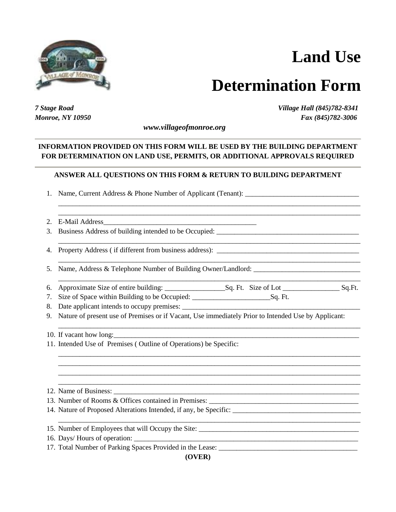

## **Land Use**

## **Determination Form**

\_\_\_\_\_\_\_\_\_\_\_\_\_\_\_\_\_\_\_\_\_\_\_\_\_\_\_\_\_\_\_\_\_\_\_\_\_\_\_\_\_\_\_\_\_\_\_\_\_\_\_\_\_\_\_\_\_\_\_\_\_\_\_\_\_\_\_\_\_\_\_\_\_\_\_\_\_\_\_\_\_\_\_\_\_

*7 Stage Road Village Hall (845)782-8341 Monroe, NY 10950 Fax (845)782-3006*

 *www.villageofmonroe.org*

## **INFORMATION PROVIDED ON THIS FORM WILL BE USED BY THE BUILDING DEPARTMENT FOR DETERMINATION ON LAND USE, PERMITS, OR ADDITIONAL APPROVALS REQUIRED**

## **ANSWER ALL QUESTIONS ON THIS FORM & RETURN TO BUILDING DEPARTMENT**

\_\_\_\_\_\_\_\_\_\_\_\_\_\_\_\_\_\_\_\_\_\_\_\_\_\_\_\_\_\_\_\_\_\_\_\_\_\_\_\_\_\_\_\_\_\_\_\_\_\_\_\_\_\_\_\_\_\_\_\_\_\_\_\_\_\_\_\_\_\_\_\_\_\_\_\_\_\_\_\_\_\_\_\_\_ \_\_\_\_\_\_\_\_\_\_\_\_\_\_\_\_\_\_\_\_\_\_\_\_\_\_\_\_\_\_\_\_\_\_\_\_\_\_\_\_\_\_\_\_\_\_\_\_\_\_\_\_\_\_\_\_\_\_\_\_\_\_\_\_\_\_\_\_\_\_\_\_\_\_\_\_\_\_\_\_\_\_\_\_\_

\_\_\_\_\_\_\_\_\_\_\_\_\_\_\_\_\_\_\_\_\_\_\_\_\_\_\_\_\_\_\_\_\_\_\_\_\_\_\_\_\_\_\_\_\_\_\_\_\_\_\_\_\_\_\_\_\_\_\_\_\_\_\_\_\_\_\_\_\_\_\_\_\_\_\_\_\_\_\_\_\_\_\_\_\_

\_\_\_\_\_\_\_\_\_\_\_\_\_\_\_\_\_\_\_\_\_\_\_\_\_\_\_\_\_\_\_\_\_\_\_\_\_\_\_\_\_\_\_\_\_\_\_\_\_\_\_\_\_\_\_\_\_\_\_\_\_\_\_\_\_\_\_\_\_\_\_\_\_\_\_\_\_\_\_\_\_\_\_\_\_

\_\_\_\_\_\_\_\_\_\_\_\_\_\_\_\_\_\_\_\_\_\_\_\_\_\_\_\_\_\_\_\_\_\_\_\_\_\_\_\_\_\_\_\_\_\_\_\_\_\_\_\_\_\_\_\_\_\_\_\_\_\_\_\_\_\_\_\_\_\_\_\_\_\_\_\_\_\_\_\_\_\_\_\_\_

\_\_\_\_\_\_\_\_\_\_\_\_\_\_\_\_\_\_\_\_\_\_\_\_\_\_\_\_\_\_\_\_\_\_\_\_\_\_\_\_\_\_\_\_\_\_\_\_\_\_\_\_\_\_\_\_\_\_\_\_\_\_\_\_\_\_\_\_\_\_\_\_\_\_\_\_\_\_\_\_\_\_\_\_\_ \_\_\_\_\_\_\_\_\_\_\_\_\_\_\_\_\_\_\_\_\_\_\_\_\_\_\_\_\_\_\_\_\_\_\_\_\_\_\_\_\_\_\_\_\_\_\_\_\_\_\_\_\_\_\_\_\_\_\_\_\_\_\_\_\_\_\_\_\_\_\_\_\_\_\_\_\_\_\_\_\_\_\_\_\_ \_\_\_\_\_\_\_\_\_\_\_\_\_\_\_\_\_\_\_\_\_\_\_\_\_\_\_\_\_\_\_\_\_\_\_\_\_\_\_\_\_\_\_\_\_\_\_\_\_\_\_\_\_\_\_\_\_\_\_\_\_\_\_\_\_\_\_\_\_\_\_\_\_\_\_\_\_\_\_\_\_\_\_\_\_ \_\_\_\_\_\_\_\_\_\_\_\_\_\_\_\_\_\_\_\_\_\_\_\_\_\_\_\_\_\_\_\_\_\_\_\_\_\_\_\_\_\_\_\_\_\_\_\_\_\_\_\_\_\_\_\_\_\_\_\_\_\_\_\_\_\_\_\_\_\_\_\_\_\_\_\_\_\_\_\_\_\_\_\_\_

\_\_\_\_\_\_\_\_\_\_\_\_\_\_\_\_\_\_\_\_\_\_\_\_\_\_\_\_\_\_\_\_\_\_\_\_\_\_\_\_\_\_\_\_\_\_\_\_\_\_\_\_\_\_\_\_\_\_\_\_\_\_\_\_\_\_\_\_\_\_\_\_\_\_\_\_\_\_\_\_\_\_\_\_\_

| 1. Name, Current Address & Phone Number of Applicant (Tenant): |  |
|----------------------------------------------------------------|--|
|                                                                |  |

- 2. E-Mail Address
- 3. Business Address of building intended to be Occupied: \_\_\_\_\_\_\_\_\_\_\_\_\_\_\_\_\_\_\_\_\_\_\_\_\_\_\_\_\_\_\_\_\_\_\_\_\_\_\_\_
- 4. Property Address (if different from business address):

5. Name, Address & Telephone Number of Building Owner/Landlord: \_\_\_\_\_\_\_\_\_\_\_\_\_\_\_\_\_\_\_\_\_\_\_\_\_\_\_\_\_\_

- 6. Approximate Size of entire building: \_\_\_\_\_\_\_\_\_\_\_\_\_\_\_\_\_Sq. Ft. Size of Lot \_\_\_\_\_\_\_\_\_\_\_\_\_\_\_\_ Sq.Ft.
- 7. Size of Space within Building to be Occupied: \_\_\_\_\_\_\_\_\_\_\_\_\_\_\_\_\_\_\_\_\_\_Sq. Ft.
- 8. Date applicant intends to occupy premises:
- 9. Nature of present use of Premises or if Vacant, Use immediately Prior to Intended Use by Applicant:

10. If vacant how long:

11. Intended Use of Premises ( Outline of Operations) be Specific:

12. Name of Business:

13. Number of Rooms & Offices contained in Premises:

- 14. Nature of Proposed Alterations Intended, if any, be Specific:
- 15. Number of Employees that will Occupy the Site: \_\_\_\_\_\_\_\_\_\_\_\_\_\_\_\_\_\_\_\_\_\_\_\_\_\_\_\_\_\_\_\_\_\_\_\_\_\_\_\_\_\_\_\_\_
- 16. Days/ Hours of operation:
- 17. Total Number of Parking Spaces Provided in the Lease: \_\_\_\_\_\_\_\_\_\_\_\_\_\_\_\_\_\_\_\_\_\_\_\_\_\_\_\_\_\_\_\_\_\_\_\_\_\_\_

**(OVER)**